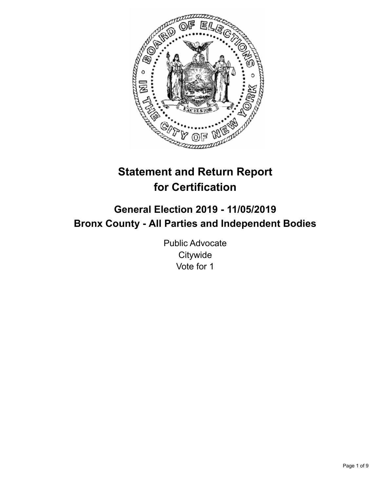

# **Statement and Return Report for Certification**

# **General Election 2019 - 11/05/2019 Bronx County - All Parties and Independent Bodies**

Public Advocate **Citywide** Vote for 1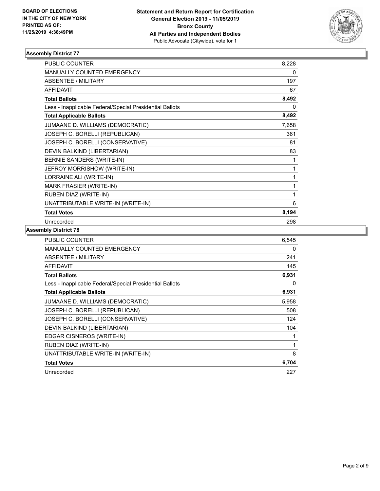

| <b>PUBLIC COUNTER</b>                                    | 8,228 |
|----------------------------------------------------------|-------|
| MANUALLY COUNTED EMERGENCY                               | 0     |
| <b>ABSENTEE / MILITARY</b>                               | 197   |
| <b>AFFIDAVIT</b>                                         | 67    |
| <b>Total Ballots</b>                                     | 8,492 |
| Less - Inapplicable Federal/Special Presidential Ballots | 0     |
| <b>Total Applicable Ballots</b>                          | 8,492 |
| JUMAANE D. WILLIAMS (DEMOCRATIC)                         | 7,658 |
| JOSEPH C. BORELLI (REPUBLICAN)                           | 361   |
| JOSEPH C. BORELLI (CONSERVATIVE)                         | 81    |
| DEVIN BALKIND (LIBERTARIAN)                              | 83    |
| BERNIE SANDERS (WRITE-IN)                                | 1     |
| JEFROY MORRISHOW (WRITE-IN)                              | 1     |
| LORRAINE ALI (WRITE-IN)                                  | 1     |
| <b>MARK FRASIER (WRITE-IN)</b>                           | 1     |
| RUBEN DIAZ (WRITE-IN)                                    | 1     |
| UNATTRIBUTABLE WRITE-IN (WRITE-IN)                       | 6     |
| <b>Total Votes</b>                                       | 8,194 |
| Unrecorded                                               | 298   |

| PUBLIC COUNTER                                           | 6,545 |
|----------------------------------------------------------|-------|
| <b>MANUALLY COUNTED EMERGENCY</b>                        | 0     |
| <b>ABSENTEE / MILITARY</b>                               | 241   |
| <b>AFFIDAVIT</b>                                         | 145   |
| <b>Total Ballots</b>                                     | 6,931 |
| Less - Inapplicable Federal/Special Presidential Ballots | 0     |
| <b>Total Applicable Ballots</b>                          | 6,931 |
| JUMAANE D. WILLIAMS (DEMOCRATIC)                         | 5,958 |
| JOSEPH C. BORELLI (REPUBLICAN)                           | 508   |
| JOSEPH C. BORELLI (CONSERVATIVE)                         | 124   |
| DEVIN BALKIND (LIBERTARIAN)                              | 104   |
| EDGAR CISNEROS (WRITE-IN)                                | 1     |
| RUBEN DIAZ (WRITE-IN)                                    | 1     |
| UNATTRIBUTABLE WRITE-IN (WRITE-IN)                       | 8     |
| <b>Total Votes</b>                                       | 6,704 |
| Unrecorded                                               | 227   |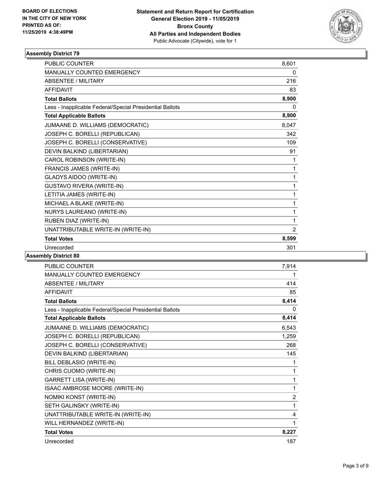

| <b>PUBLIC COUNTER</b>                                    | 8.601          |
|----------------------------------------------------------|----------------|
| <b>MANUALLY COUNTED EMERGENCY</b>                        | 0              |
| <b>ABSENTEE / MILITARY</b>                               | 216            |
| <b>AFFIDAVIT</b>                                         | 83             |
| <b>Total Ballots</b>                                     | 8,900          |
| Less - Inapplicable Federal/Special Presidential Ballots | 0              |
| <b>Total Applicable Ballots</b>                          | 8,900          |
| JUMAANE D. WILLIAMS (DEMOCRATIC)                         | 8,047          |
| JOSEPH C. BORELLI (REPUBLICAN)                           | 342            |
| JOSEPH C. BORELLI (CONSERVATIVE)                         | 109            |
| DEVIN BALKIND (LIBERTARIAN)                              | 91             |
| CAROL ROBINSON (WRITE-IN)                                | 1              |
| FRANCIS JAMES (WRITE-IN)                                 | 1              |
| GLADYS AIDOO (WRITE-IN)                                  | 1              |
| <b>GUSTAVO RIVERA (WRITE-IN)</b>                         | 1              |
| LETITIA JAMES (WRITE-IN)                                 | 1              |
| MICHAEL A BLAKE (WRITE-IN)                               | 1              |
| NURYS LAUREANO (WRITE-IN)                                | 1              |
| RUBEN DIAZ (WRITE-IN)                                    | 1              |
| UNATTRIBUTABLE WRITE-IN (WRITE-IN)                       | $\overline{2}$ |
| <b>Total Votes</b>                                       | 8,599          |
| Unrecorded                                               | 301            |
|                                                          |                |

| <b>PUBLIC COUNTER</b>                                    | 7,914          |
|----------------------------------------------------------|----------------|
| MANUALLY COUNTED EMERGENCY                               | 1              |
| ABSENTEE / MILITARY                                      | 414            |
| <b>AFFIDAVIT</b>                                         | 85             |
| <b>Total Ballots</b>                                     | 8,414          |
| Less - Inapplicable Federal/Special Presidential Ballots | 0              |
| <b>Total Applicable Ballots</b>                          | 8,414          |
| JUMAANE D. WILLIAMS (DEMOCRATIC)                         | 6,543          |
| JOSEPH C. BORELLI (REPUBLICAN)                           | 1,259          |
| JOSEPH C. BORELLI (CONSERVATIVE)                         | 268            |
| DEVIN BALKIND (LIBERTARIAN)                              | 145            |
| BILL DEBLASIO (WRITE-IN)                                 | 1              |
| CHRIS CUOMO (WRITE-IN)                                   | 1              |
| <b>GARRETT LISA (WRITE-IN)</b>                           | 1              |
| ISAAC AMBROSE MOORE (WRITE-IN)                           | 1              |
| NOMIKI KONST (WRITE-IN)                                  | $\overline{2}$ |
| SETH GALINSKY (WRITE-IN)                                 | 1              |
| UNATTRIBUTABLE WRITE-IN (WRITE-IN)                       | 4              |
| WILL HERNANDEZ (WRITE-IN)                                | 1              |
| <b>Total Votes</b>                                       | 8,227          |
| Unrecorded                                               | 187            |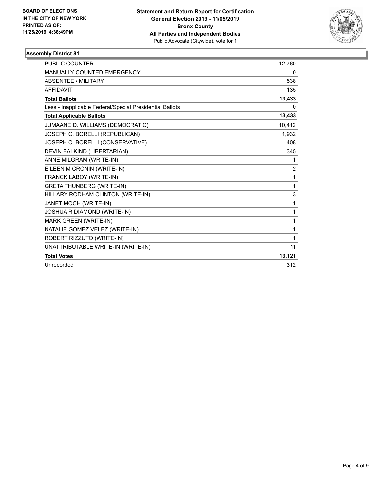

| <b>PUBLIC COUNTER</b>                                    | 12,760   |
|----------------------------------------------------------|----------|
| MANUALLY COUNTED EMERGENCY                               | 0        |
| <b>ABSENTEE / MILITARY</b>                               | 538      |
| <b>AFFIDAVIT</b>                                         | 135      |
| <b>Total Ballots</b>                                     | 13,433   |
| Less - Inapplicable Federal/Special Presidential Ballots | $\Omega$ |
| <b>Total Applicable Ballots</b>                          | 13,433   |
| JUMAANE D. WILLIAMS (DEMOCRATIC)                         | 10,412   |
| JOSEPH C. BORELLI (REPUBLICAN)                           | 1,932    |
| JOSEPH C. BORELLI (CONSERVATIVE)                         | 408      |
| DEVIN BALKIND (LIBERTARIAN)                              | 345      |
| ANNE MILGRAM (WRITE-IN)                                  | 1        |
| EILEEN M CRONIN (WRITE-IN)                               | 2        |
| FRANCK LABOY (WRITE-IN)                                  | 1        |
| <b>GRETA THUNBERG (WRITE-IN)</b>                         | 1        |
| HILLARY RODHAM CLINTON (WRITE-IN)                        | 3        |
| JANET MOCH (WRITE-IN)                                    | 1        |
| JOSHUA R DIAMOND (WRITE-IN)                              | 1        |
| <b>MARK GREEN (WRITE-IN)</b>                             | 1        |
| NATALIE GOMEZ VELEZ (WRITE-IN)                           | 1        |
| ROBERT RIZZUTO (WRITE-IN)                                | 1        |
| UNATTRIBUTABLE WRITE-IN (WRITE-IN)                       | 11       |
| <b>Total Votes</b>                                       | 13,121   |
| Unrecorded                                               | 312      |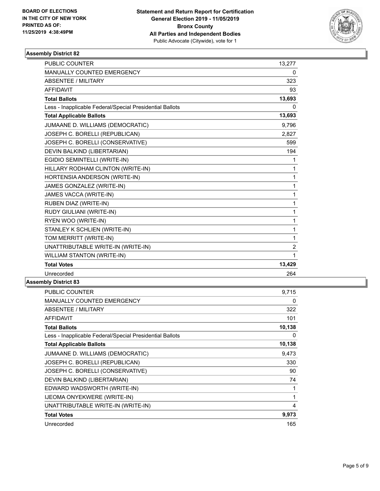

| <b>PUBLIC COUNTER</b>                                    | 13,277         |
|----------------------------------------------------------|----------------|
| MANUALLY COUNTED EMERGENCY                               | 0              |
| <b>ABSENTEE / MILITARY</b>                               | 323            |
| <b>AFFIDAVIT</b>                                         | 93             |
| <b>Total Ballots</b>                                     | 13,693         |
| Less - Inapplicable Federal/Special Presidential Ballots | 0              |
| <b>Total Applicable Ballots</b>                          | 13,693         |
| JUMAANE D. WILLIAMS (DEMOCRATIC)                         | 9,796          |
| JOSEPH C. BORELLI (REPUBLICAN)                           | 2,827          |
| JOSEPH C. BORELLI (CONSERVATIVE)                         | 599            |
| DEVIN BALKIND (LIBERTARIAN)                              | 194            |
| EGIDIO SEMINTELLI (WRITE-IN)                             | 1              |
| HILLARY RODHAM CLINTON (WRITE-IN)                        | 1              |
| HORTENSIA ANDERSON (WRITE-IN)                            | 1              |
| JAMES GONZALEZ (WRITE-IN)                                | 1              |
| JAMES VACCA (WRITE-IN)                                   | 1              |
| RUBEN DIAZ (WRITE-IN)                                    | 1              |
| RUDY GIULIANI (WRITE-IN)                                 | 1              |
| RYEN WOO (WRITE-IN)                                      | 1              |
| STANLEY K SCHLIEN (WRITE-IN)                             | 1              |
| TOM MERRITT (WRITE-IN)                                   | 1              |
| UNATTRIBUTABLE WRITE-IN (WRITE-IN)                       | $\overline{2}$ |
| WILLIAM STANTON (WRITE-IN)                               | 1              |
| <b>Total Votes</b>                                       | 13,429         |
| Unrecorded                                               | 264            |
|                                                          |                |

| <b>PUBLIC COUNTER</b>                                    | 9,715  |
|----------------------------------------------------------|--------|
| <b>MANUALLY COUNTED EMERGENCY</b>                        | 0      |
| <b>ABSENTEE / MILITARY</b>                               | 322    |
| <b>AFFIDAVIT</b>                                         | 101    |
| <b>Total Ballots</b>                                     | 10,138 |
| Less - Inapplicable Federal/Special Presidential Ballots | 0      |
| <b>Total Applicable Ballots</b>                          | 10,138 |
| JUMAANE D. WILLIAMS (DEMOCRATIC)                         | 9,473  |
| JOSEPH C. BORELLI (REPUBLICAN)                           | 330    |
| JOSEPH C. BORELLI (CONSERVATIVE)                         | 90     |
| DEVIN BALKIND (LIBERTARIAN)                              | 74     |
| EDWARD WADSWORTH (WRITE-IN)                              | 1      |
| IJEOMA ONYEKWERE (WRITE-IN)                              | 1      |
| UNATTRIBUTABLE WRITE-IN (WRITE-IN)                       | 4      |
| <b>Total Votes</b>                                       | 9,973  |
| Unrecorded                                               | 165    |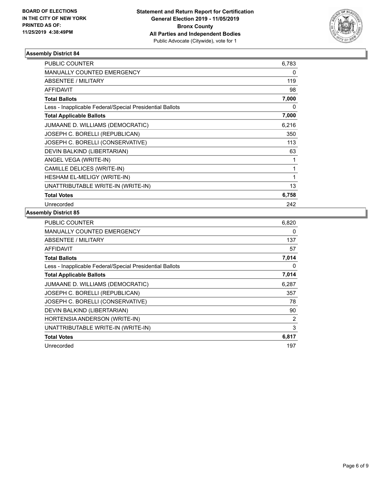

| <b>PUBLIC COUNTER</b>                                    | 6,783        |
|----------------------------------------------------------|--------------|
| <b>MANUALLY COUNTED EMERGENCY</b>                        | 0            |
| <b>ABSENTEE / MILITARY</b>                               | 119          |
| <b>AFFIDAVIT</b>                                         | 98           |
| <b>Total Ballots</b>                                     | 7,000        |
| Less - Inapplicable Federal/Special Presidential Ballots | 0            |
| <b>Total Applicable Ballots</b>                          | 7,000        |
| JUMAANE D. WILLIAMS (DEMOCRATIC)                         | 6,216        |
| JOSEPH C. BORELLI (REPUBLICAN)                           | 350          |
| JOSEPH C. BORELLI (CONSERVATIVE)                         | 113          |
| DEVIN BALKIND (LIBERTARIAN)                              | 63           |
| ANGEL VEGA (WRITE-IN)                                    | 1            |
| CAMILLE DELICES (WRITE-IN)                               | 1            |
| HESHAM EL-MELIGY (WRITE-IN)                              | $\mathbf{1}$ |
| UNATTRIBUTABLE WRITE-IN (WRITE-IN)                       | 13           |
| <b>Total Votes</b>                                       | 6,758        |
| Unrecorded                                               | 242          |

| PUBLIC COUNTER                                           | 6,820 |
|----------------------------------------------------------|-------|
| <b>MANUALLY COUNTED EMERGENCY</b>                        | 0     |
| ABSENTEE / MILITARY                                      | 137   |
| AFFIDAVIT                                                | 57    |
| <b>Total Ballots</b>                                     | 7,014 |
| Less - Inapplicable Federal/Special Presidential Ballots | 0     |
| <b>Total Applicable Ballots</b>                          | 7,014 |
| JUMAANE D. WILLIAMS (DEMOCRATIC)                         | 6,287 |
| JOSEPH C. BORELLI (REPUBLICAN)                           | 357   |
| JOSEPH C. BORELLI (CONSERVATIVE)                         | 78    |
| DEVIN BALKIND (LIBERTARIAN)                              | 90    |
| HORTENSIA ANDERSON (WRITE-IN)                            | 2     |
| UNATTRIBUTABLE WRITE-IN (WRITE-IN)                       | 3     |
| <b>Total Votes</b>                                       | 6,817 |
| Unrecorded                                               | 197   |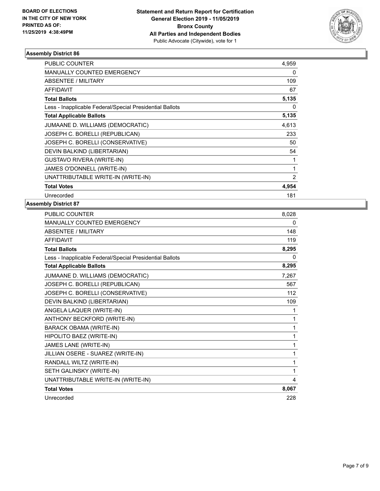

| <b>PUBLIC COUNTER</b>                                    | 4,959 |
|----------------------------------------------------------|-------|
| <b>MANUALLY COUNTED EMERGENCY</b>                        | 0     |
| <b>ABSENTEE / MILITARY</b>                               | 109   |
| <b>AFFIDAVIT</b>                                         | 67    |
| <b>Total Ballots</b>                                     | 5,135 |
| Less - Inapplicable Federal/Special Presidential Ballots | 0     |
| <b>Total Applicable Ballots</b>                          | 5,135 |
| JUMAANE D. WILLIAMS (DEMOCRATIC)                         | 4,613 |
| JOSEPH C. BORELLI (REPUBLICAN)                           | 233   |
| JOSEPH C. BORELLI (CONSERVATIVE)                         | 50    |
| DEVIN BALKIND (LIBERTARIAN)                              | 54    |
| <b>GUSTAVO RIVERA (WRITE-IN)</b>                         |       |
| <b>JAMES O'DONNELL (WRITE-IN)</b>                        | 1     |
| UNATTRIBUTABLE WRITE-IN (WRITE-IN)                       | 2     |
| <b>Total Votes</b>                                       | 4,954 |
| Unrecorded                                               | 181   |

| <b>PUBLIC COUNTER</b>                                    | 8,028 |
|----------------------------------------------------------|-------|
| <b>MANUALLY COUNTED EMERGENCY</b>                        | 0     |
| <b>ABSENTEE / MILITARY</b>                               | 148   |
| <b>AFFIDAVIT</b>                                         | 119   |
| <b>Total Ballots</b>                                     | 8,295 |
| Less - Inapplicable Federal/Special Presidential Ballots | 0     |
| <b>Total Applicable Ballots</b>                          | 8,295 |
| JUMAANE D. WILLIAMS (DEMOCRATIC)                         | 7,267 |
| JOSEPH C. BORELLI (REPUBLICAN)                           | 567   |
| JOSEPH C. BORELLI (CONSERVATIVE)                         | 112   |
| DEVIN BALKIND (LIBERTARIAN)                              | 109   |
| ANGELA LAQUER (WRITE-IN)                                 | 1     |
| ANTHONY BECKFORD (WRITE-IN)                              | 1     |
| <b>BARACK OBAMA (WRITE-IN)</b>                           | 1     |
| HIPOLITO BAEZ (WRITE-IN)                                 | 1     |
| JAMES LANE (WRITE-IN)                                    | 1     |
| JILLIAN OSERE - SUAREZ (WRITE-IN)                        | 1     |
| RANDALL WILTZ (WRITE-IN)                                 | 1     |
| SETH GALINSKY (WRITE-IN)                                 | 1     |
| UNATTRIBUTABLE WRITE-IN (WRITE-IN)                       | 4     |
| <b>Total Votes</b>                                       | 8,067 |
| Unrecorded                                               | 228   |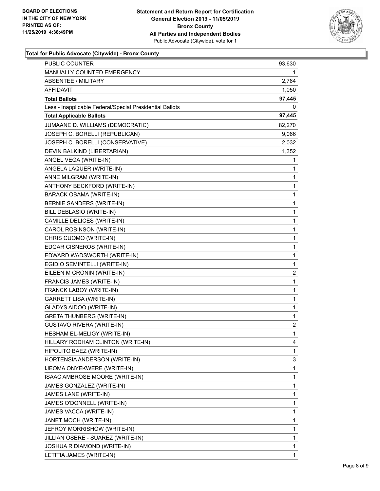

# **Total for Public Advocate (Citywide) - Bronx County**

| PUBLIC COUNTER                                           | 93,630 |
|----------------------------------------------------------|--------|
| <b>MANUALLY COUNTED EMERGENCY</b>                        | 1.     |
| ABSENTEE / MILITARY                                      | 2,764  |
| AFFIDAVIT                                                | 1,050  |
| <b>Total Ballots</b>                                     | 97,445 |
| Less - Inapplicable Federal/Special Presidential Ballots | 0      |
| <b>Total Applicable Ballots</b>                          | 97,445 |
| JUMAANE D. WILLIAMS (DEMOCRATIC)                         | 82,270 |
| JOSEPH C. BORELLI (REPUBLICAN)                           | 9,066  |
| JOSEPH C. BORELLI (CONSERVATIVE)                         | 2,032  |
| DEVIN BALKIND (LIBERTARIAN)                              | 1,352  |
| ANGEL VEGA (WRITE-IN)                                    | 1      |
| ANGELA LAQUER (WRITE-IN)                                 | 1      |
| ANNE MILGRAM (WRITE-IN)                                  | 1      |
| ANTHONY BECKFORD (WRITE-IN)                              | 1      |
| <b>BARACK OBAMA (WRITE-IN)</b>                           | 1      |
| <b>BERNIE SANDERS (WRITE-IN)</b>                         | 1      |
| BILL DEBLASIO (WRITE-IN)                                 | 1      |
| CAMILLE DELICES (WRITE-IN)                               | 1      |
| CAROL ROBINSON (WRITE-IN)                                | 1      |
| CHRIS CUOMO (WRITE-IN)                                   | 1      |
| EDGAR CISNEROS (WRITE-IN)                                | 1      |
| EDWARD WADSWORTH (WRITE-IN)                              | 1      |
| EGIDIO SEMINTELLI (WRITE-IN)                             | 1      |
| EILEEN M CRONIN (WRITE-IN)                               | 2      |
| FRANCIS JAMES (WRITE-IN)                                 | 1      |
| FRANCK LABOY (WRITE-IN)                                  | 1      |
| GARRETT LISA (WRITE-IN)                                  | 1      |
| GLADYS AIDOO (WRITE-IN)                                  | 1      |
| <b>GRETA THUNBERG (WRITE-IN)</b>                         | 1      |
| <b>GUSTAVO RIVERA (WRITE-IN)</b>                         | 2      |
| HESHAM EL-MELIGY (WRITE-IN)                              | 1      |
| HILLARY RODHAM CLINTON (WRITE-IN)                        | 4      |
| HIPOLITO BAEZ (WRITE-IN)                                 | 1      |
| HORTENSIA ANDERSON (WRITE-IN)                            | 3      |
| IJEOMA ONYEKWERE (WRITE-IN)                              | 1      |
| ISAAC AMBROSE MOORE (WRITE-IN)                           | 1      |
| JAMES GONZALEZ (WRITE-IN)                                | 1      |
| JAMES LANE (WRITE-IN)                                    | 1      |
| JAMES O'DONNELL (WRITE-IN)                               | 1      |
| JAMES VACCA (WRITE-IN)                                   | 1      |
| JANET MOCH (WRITE-IN)                                    | 1      |
| JEFROY MORRISHOW (WRITE-IN)                              | 1      |
| JILLIAN OSERE - SUAREZ (WRITE-IN)                        | 1      |
| JOSHUA R DIAMOND (WRITE-IN)                              | 1      |
| LETITIA JAMES (WRITE-IN)                                 | 1      |
|                                                          |        |